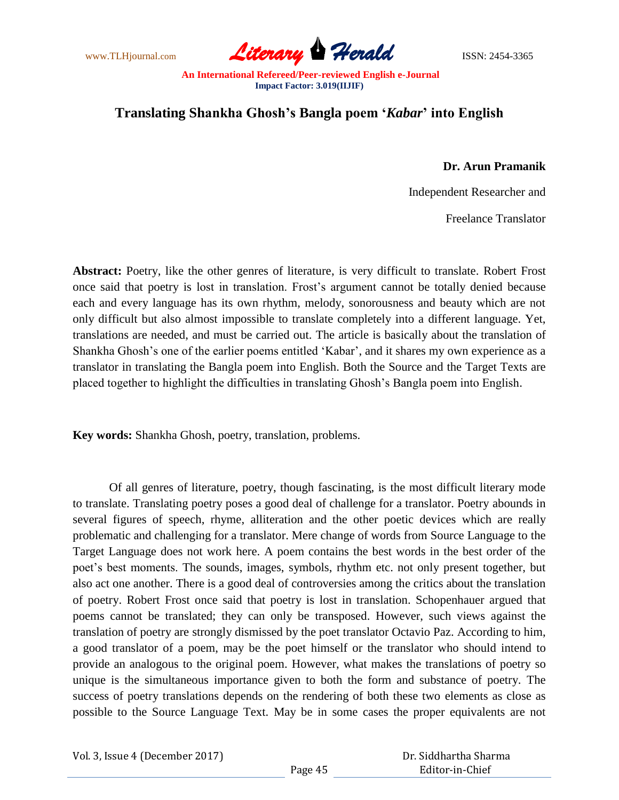www.TLHjournal.com **Literary Herald Herald** ISSN: 2454-3365

# **Translating Shankha Ghosh's Bangla poem '***Kabar***' into English**

## **Dr. Arun Pramanik**

Independent Researcher and

Freelance Translator

**Abstract:** Poetry, like the other genres of literature, is very difficult to translate. Robert Frost once said that poetry is lost in translation. Frost"s argument cannot be totally denied because each and every language has its own rhythm, melody, sonorousness and beauty which are not only difficult but also almost impossible to translate completely into a different language. Yet, translations are needed, and must be carried out. The article is basically about the translation of Shankha Ghosh's one of the earlier poems entitled 'Kabar', and it shares my own experience as a translator in translating the Bangla poem into English. Both the Source and the Target Texts are placed together to highlight the difficulties in translating Ghosh"s Bangla poem into English.

**Key words:** Shankha Ghosh, poetry, translation, problems.

Of all genres of literature, poetry, though fascinating, is the most difficult literary mode to translate. Translating poetry poses a good deal of challenge for a translator. Poetry abounds in several figures of speech, rhyme, alliteration and the other poetic devices which are really problematic and challenging for a translator. Mere change of words from Source Language to the Target Language does not work here. A poem contains the best words in the best order of the poet"s best moments. The sounds, images, symbols, rhythm etc. not only present together, but also act one another. There is a good deal of controversies among the critics about the translation of poetry. Robert Frost once said that poetry is lost in translation. Schopenhauer argued that poems cannot be translated; they can only be transposed. However, such views against the translation of poetry are strongly dismissed by the poet translator Octavio Paz. According to him, a good translator of a poem, may be the poet himself or the translator who should intend to provide an analogous to the original poem. However, what makes the translations of poetry so unique is the simultaneous importance given to both the form and substance of poetry. The success of poetry translations depends on the rendering of both these two elements as close as possible to the Source Language Text. May be in some cases the proper equivalents are not

Vol. 3, Issue 4 (December 2017)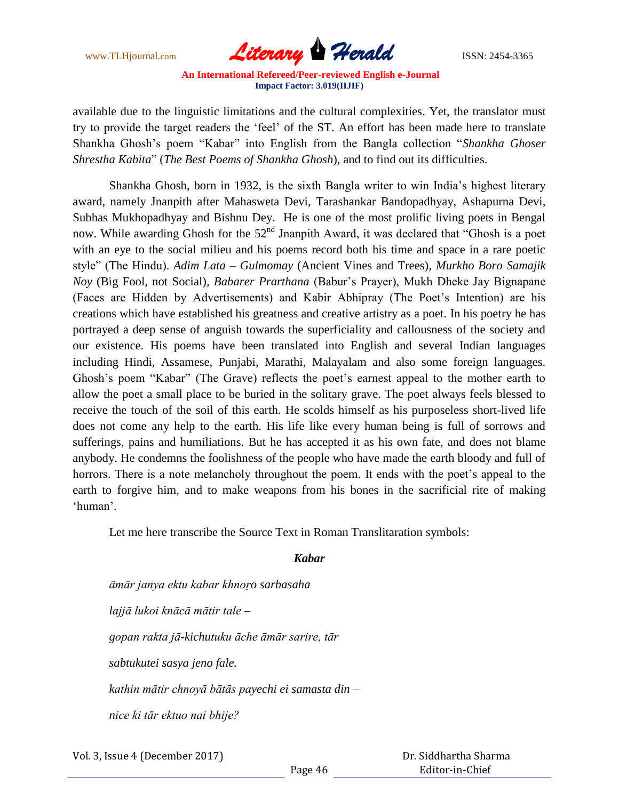www.TLHjournal.com **Literary Herald Herald** ISSN: 2454-3365

available due to the linguistic limitations and the cultural complexities. Yet, the translator must try to provide the target readers the "feel" of the ST. An effort has been made here to translate Shankha Ghosh"s poem "Kabar" into English from the Bangla collection "*Shankha Ghoser Shrestha Kabita*" (*The Best Poems of Shankha Ghosh*), and to find out its difficulties.

Shankha Ghosh, born in 1932, is the sixth Bangla writer to win India"s highest literary award, namely Jnanpith after Mahasweta Devi, Tarashankar Bandopadhyay, Ashapurna Devi, Subhas Mukhopadhyay and Bishnu Dey. He is one of the most prolific living poets in Bengal now. While awarding Ghosh for the  $52<sup>nd</sup>$  Jnanpith Award, it was declared that "Ghosh is a poet with an eye to the social milieu and his poems record both his time and space in a rare poetic style" (The Hindu). *Adim Lata – Gulmomay* (Ancient Vines and Trees)*, Murkho Boro Samajik Noy* (Big Fool, not Social)*, Babarer Prarthana* (Babur"s Prayer), Mukh Dheke Jay Bignapane (Faces are Hidden by Advertisements) and Kabir Abhipray (The Poet"s Intention) are his creations which have established his greatness and creative artistry as a poet. In his poetry he has portrayed a deep sense of anguish towards the superficiality and callousness of the society and our existence. His poems have been translated into English and several Indian languages including Hindi, Assamese, Punjabi, Marathi, Malayalam and also some foreign languages. Ghosh's poem "Kabar" (The Grave) reflects the poet's earnest appeal to the mother earth to allow the poet a small place to be buried in the solitary grave. The poet always feels blessed to receive the touch of the soil of this earth. He scolds himself as his purposeless short-lived life does not come any help to the earth. His life like every human being is full of sorrows and sufferings, pains and humiliations. But he has accepted it as his own fate, and does not blame anybody. He condemns the foolishness of the people who have made the earth bloody and full of horrors. There is a note melancholy throughout the poem. It ends with the poet's appeal to the earth to forgive him, and to make weapons from his bones in the sacrificial rite of making 'human'.

Let me here transcribe the Source Text in Roman Translitaration symbols:

### *Kabar*

*āmār janya ektu kabar khnoṛo sarbasaha lajjā lukoi knācā mātir tale – gopan rakta jā-kichutuku āche āmār sarire, tār sabtukutei sasya jeno fale. kathin mātir chnoyā bātās payechi ei samasta din – nice ki tār ektuo nai bhije?*

Vol. 3, Issue 4 (December 2017)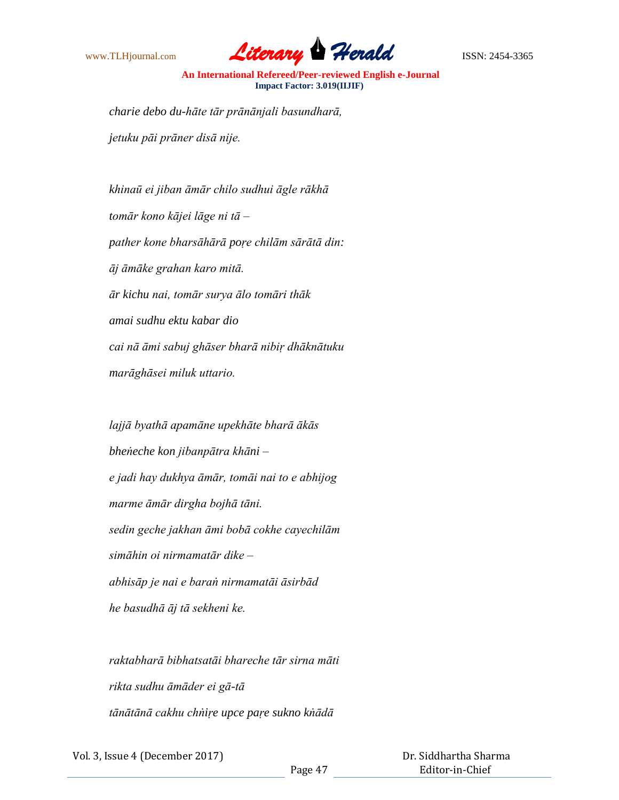

*charie debo du-hāte tār prānānjali basundharā, jetuku pāi prāner disā nije.*

*khinaū ei jiban āmār chilo sudhui āgle rākhā tomār kono kājei lāge ni tā – pather kone bharsāhārā poṛe chilām sārātā din: āj āmāke grahan karo mitā. ār kichu nai, tomār surya ālo tomāri thāk amai sudhu ektu kabar dio cai nā āmi sabuj ghāser bharā nibiṛ dhāknātuku marāghāsei miluk uttario.*

*lajjā byathā apamāne upekhāte bharā ākās bheṅeche kon jibanpātra khāni – e jadi hay dukhya āmār, tomāi nai to e abhijog marme āmār dirgha bojhā tāni. sedin geche jakhan āmi bobā cokhe cayechilām simāhin oi nirmamatār dike – abhisāp je nai e baraṅ nirmamatāi āsirbād he basudhā āj tā sekheni ke.*

*raktabharā bibhatsatāi bhareche tār sirna māti rikta sudhu āmāder ei gā-tā tānātānā cakhu chṅiṛe upce paṛe sukno kṅādā*

Vol. 3, Issue 4 (December 2017)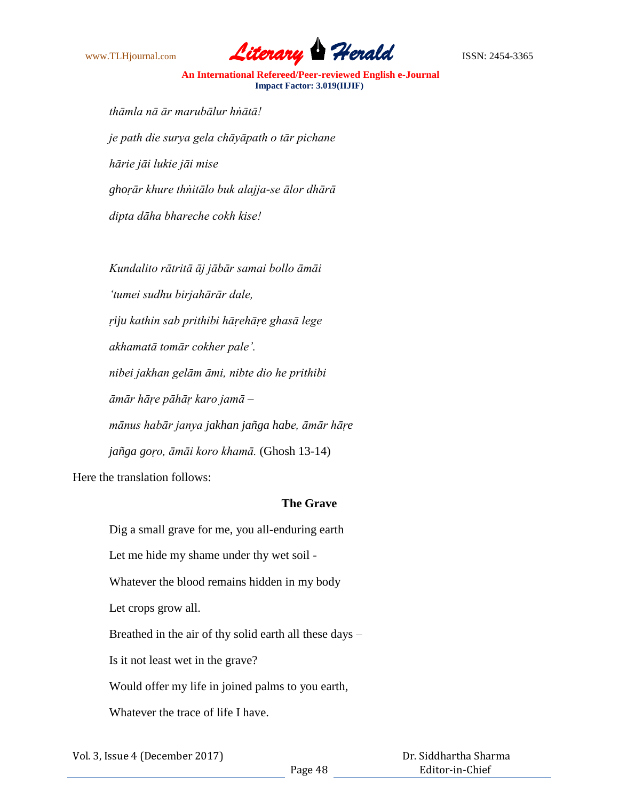

*thāmla nā ār marubālur hṅātā! je path die surya gela chāyāpath o tār pichane hārie jāi lukie jāi mise ghoṛār khure thṅitālo buk alajja-se ālor dhārā dipta dāha bhareche cokh kise!*

*Kundalito rātritā āj jābār samai bollo āmāi 'tumei sudhu birjahārār dale, ṛiju kathin sab prithibi hāṛehāṛe ghasā lege akhamatā tomār cokher pale'. nibei jakhan gelām āmi, nibte dio he prithibi āmār hāṛe pāhāṛ karo jamā – mānus habār janya jakhan jañga habe, āmār hāṛe jañga goṛo, āmāi koro khamā.* (Ghosh 13-14) Here the translation follows:

### **The Grave**

Dig a small grave for me, you all-enduring earth Let me hide my shame under thy wet soil - Whatever the blood remains hidden in my body Let crops grow all. Breathed in the air of thy solid earth all these days – Is it not least wet in the grave? Would offer my life in joined palms to you earth, Whatever the trace of life I have.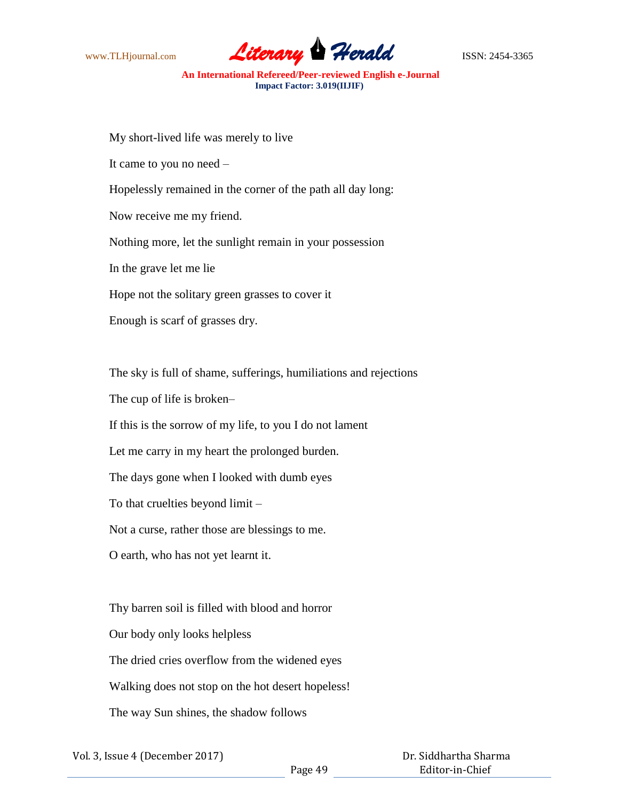

My short-lived life was merely to live It came to you no need – Hopelessly remained in the corner of the path all day long: Now receive me my friend. Nothing more, let the sunlight remain in your possession In the grave let me lie Hope not the solitary green grasses to cover it Enough is scarf of grasses dry.

The sky is full of shame, sufferings, humiliations and rejections

The cup of life is broken–

If this is the sorrow of my life, to you I do not lament

Let me carry in my heart the prolonged burden.

The days gone when I looked with dumb eyes

To that cruelties beyond limit –

Not a curse, rather those are blessings to me.

O earth, who has not yet learnt it.

Thy barren soil is filled with blood and horror Our body only looks helpless The dried cries overflow from the widened eyes Walking does not stop on the hot desert hopeless! The way Sun shines, the shadow follows

Vol. 3, Issue 4 (December 2017)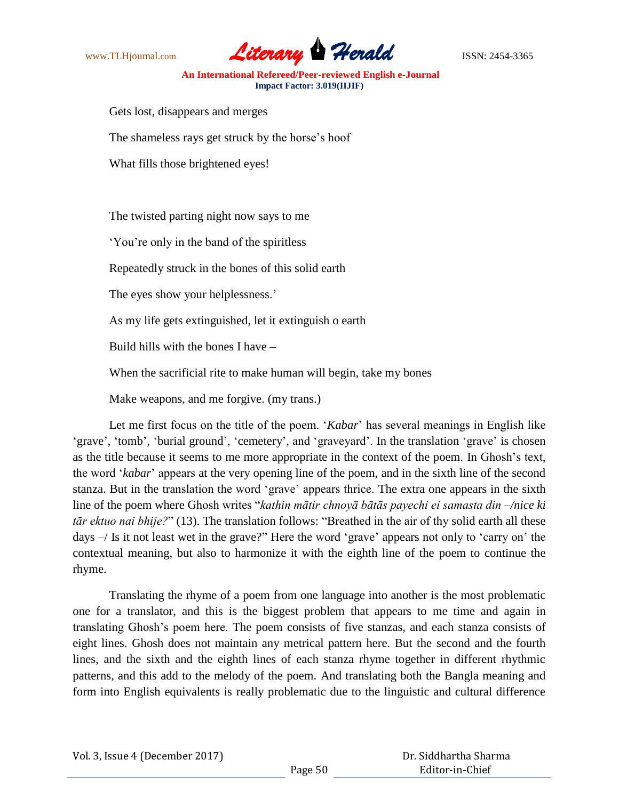

Gets lost, disappears and merges

The shameless rays get struck by the horse's hoof

What fills those brightened eyes!

The twisted parting night now says to me

"You"re only in the band of the spiritless

Repeatedly struck in the bones of this solid earth

The eyes show your helplessness.'

As my life gets extinguished, let it extinguish o earth

Build hills with the bones I have –

When the sacrificial rite to make human will begin, take my bones

Make weapons, and me forgive. (my trans.)

Let me first focus on the title of the poem. "*Kabar*" has several meanings in English like "grave", "tomb", "burial ground", "cemetery", and "graveyard". In the translation "grave" is chosen as the title because it seems to me more appropriate in the context of the poem. In Ghosh"s text, the word "*kabar*" appears at the very opening line of the poem, and in the sixth line of the second stanza. But in the translation the word "grave" appears thrice. The extra one appears in the sixth line of the poem where Ghosh writes "*kathin mātir chnoyā bātās payechi ei samasta din –/nice ki tār ektuo nai bhije?*" (13). The translation follows: "Breathed in the air of thy solid earth all these days  $-$ / Is it not least wet in the grave?" Here the word 'grave' appears not only to 'carry on' the contextual meaning, but also to harmonize it with the eighth line of the poem to continue the rhyme.

Translating the rhyme of a poem from one language into another is the most problematic one for a translator, and this is the biggest problem that appears to me time and again in translating Ghosh"s poem here. The poem consists of five stanzas, and each stanza consists of eight lines. Ghosh does not maintain any metrical pattern here. But the second and the fourth lines, and the sixth and the eighth lines of each stanza rhyme together in different rhythmic patterns, and this add to the melody of the poem. And translating both the Bangla meaning and form into English equivalents is really problematic due to the linguistic and cultural difference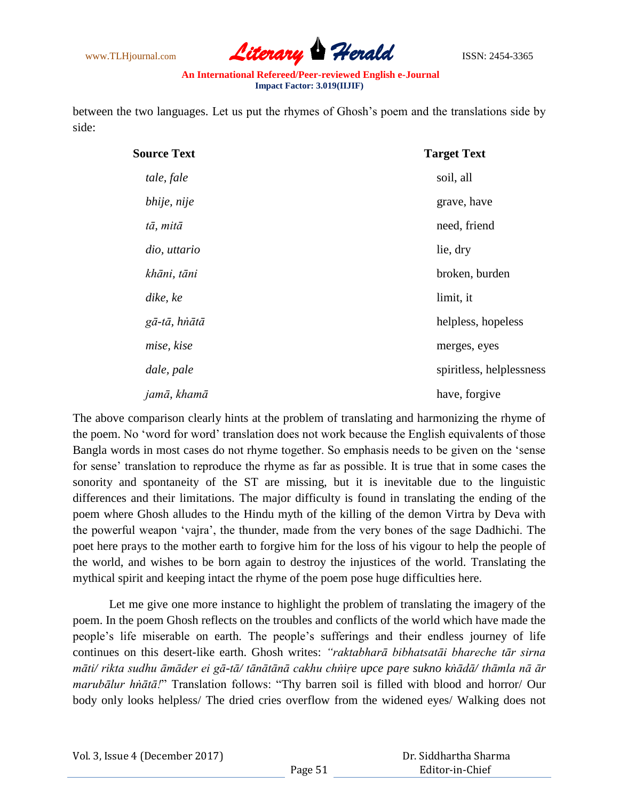

between the two languages. Let us put the rhymes of Ghosh"s poem and the translations side by side:

| <b>Source Text</b> | <b>Target Text</b>       |
|--------------------|--------------------------|
| tale, fale         | soil, all                |
| bhije, nije        | grave, have              |
| tā, mitā           | need, friend             |
| dio, uttario       | lie, dry                 |
| khāni, tāni        | broken, burden           |
| dike, ke           | limit, it                |
| gā-tā, hnātā       | helpless, hopeless       |
| mise, kise         | merges, eyes             |
| dale, pale         | spiritless, helplessness |
| jamā, khamā        | have, forgive            |

The above comparison clearly hints at the problem of translating and harmonizing the rhyme of the poem. No "word for word" translation does not work because the English equivalents of those Bangla words in most cases do not rhyme together. So emphasis needs to be given on the "sense for sense" translation to reproduce the rhyme as far as possible. It is true that in some cases the sonority and spontaneity of the ST are missing, but it is inevitable due to the linguistic differences and their limitations. The major difficulty is found in translating the ending of the poem where Ghosh alludes to the Hindu myth of the killing of the demon Virtra by Deva with the powerful weapon "vajra", the thunder, made from the very bones of the sage Dadhichi. The poet here prays to the mother earth to forgive him for the loss of his vigour to help the people of the world, and wishes to be born again to destroy the injustices of the world. Translating the mythical spirit and keeping intact the rhyme of the poem pose huge difficulties here.

Let me give one more instance to highlight the problem of translating the imagery of the poem. In the poem Ghosh reflects on the troubles and conflicts of the world which have made the people"s life miserable on earth. The people"s sufferings and their endless journey of life continues on this desert-like earth. Ghosh writes: *"raktabharā bibhatsatāi bhareche tār sirna māti/ rikta sudhu āmāder ei gā-tā/ tānātānā cakhu chṅiṛe upce paṛe sukno kṅādā/ thāmla nā ār marubālur hṅātā!*" Translation follows: "Thy barren soil is filled with blood and horror/ Our body only looks helpless/ The dried cries overflow from the widened eyes/ Walking does not